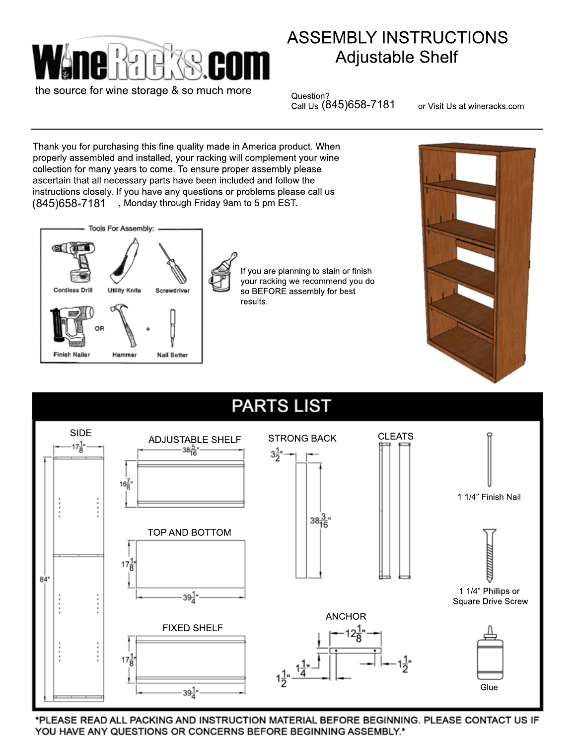

the source for wine storage & so much more

## ASSEMBLY INSTRUCTIONS Adjustable Shelf

Question? Call Us T (845)658-7181

or Visit Us at wineracks.com

Thank you for purchasing this fine quality made in America product. When properly assembled and installed, your racking will complement your wine collection for many years to come. To ensure proper assembly please ascertain that all necessary parts have been included and follow the instructions closely. If you have any questions or problems please call us , Monday through Friday 9am to 5 pm EST. (845)658-7181



If you are planning to stain or finish your racking we recommend you do so BEFORE assembly for best results.



## **PARTS LIST**



\*PLEASE READ ALL PACKING AND INSTRUCTION MATERIAL BEFORE BEGINNING. PLEASE CONTACT US IF YOU HAVE ANY QUESTIONS OR CONCERNS BEFORE BEGINNING ASSEMBLY.\*